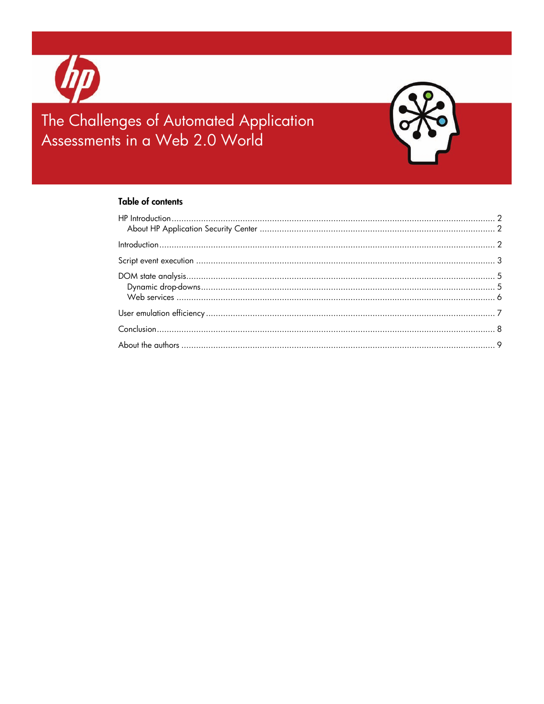

# The Challenges of Automated Application Assessments in a Web 2.0 World



#### **Table of contents**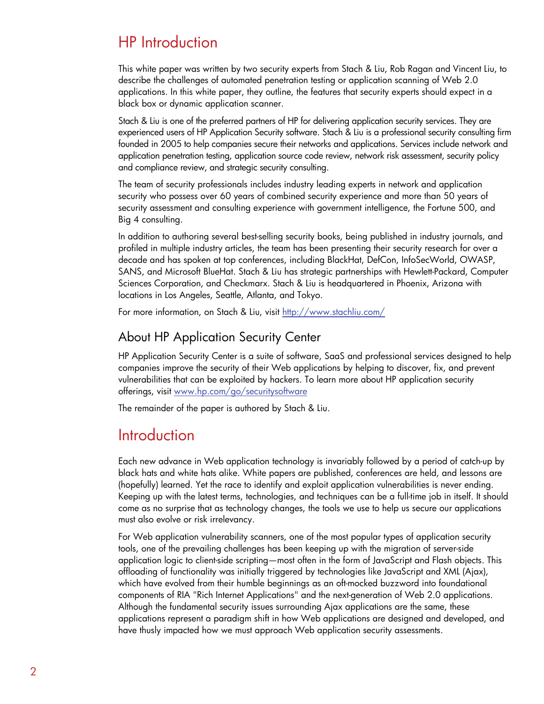## <span id="page-1-0"></span>HP Introduction

This white paper was written by two security experts from Stach & Liu, Rob Ragan and Vincent Liu, to describe the challenges of automated penetration testing or application scanning of Web 2.0 applications. In this white paper, they outline, the features that security experts should expect in a black box or dynamic application scanner.

Stach & Liu is one of the preferred partners of HP for delivering application security services. They are experienced users of HP Application Security software. Stach & Liu is a professional security consulting firm founded in 2005 to help companies secure their networks and applications. Services include network and application penetration testing, application source code review, network risk assessment, security policy and compliance review, and strategic security consulting.

The team of security professionals includes industry leading experts in network and application security who possess over 60 years of combined security experience and more than 50 years of security assessment and consulting experience with government intelligence, the Fortune 500, and Big 4 consulting.

In addition to authoring several best-selling security books, being published in industry journals, and profiled in multiple industry articles, the team has been presenting their security research for over a decade and has spoken at top conferences, including BlackHat, DefCon, InfoSecWorld, OWASP, SANS, and Microsoft BlueHat. Stach & Liu has strategic partnerships with Hewlett-Packard, Computer Sciences Corporation, and Checkmarx. Stach & Liu is headquartered in Phoenix, Arizona with locations in Los Angeles, Seattle, Atlanta, and Tokyo.

For more information, on Stach & Liu, visit <http://www.stachliu.com/>

#### <span id="page-1-1"></span>About HP Application Security Center

HP Application Security Center is a suite of software, SaaS and professional services designed to help companies improve the security of their Web applications by helping to discover, fix, and prevent vulnerabilities that can be exploited by hackers. To learn more about HP application security offerings, visit [www.hp.com/go/securitysoftware](http://www.hp.com/go/securitysoftware) 

The remainder of the paper is authored by Stach & Liu.

## <span id="page-1-2"></span>**Introduction**

Each new advance in Web application technology is invariably followed by a period of catch-up by black hats and white hats alike. White papers are published, conferences are held, and lessons are (hopefully) learned. Yet the race to identify and exploit application vulnerabilities is never ending. Keeping up with the latest terms, technologies, and techniques can be a full-time job in itself. It should come as no surprise that as technology changes, the tools we use to help us secure our applications must also evolve or risk irrelevancy.

For Web application vulnerability scanners, one of the most popular types of application security tools, one of the prevailing challenges has been keeping up with the migration of server-side application logic to client-side scripting—most often in the form of JavaScript and Flash objects. This offloading of functionality was initially triggered by technologies like JavaScript and XML (Ajax), which have evolved from their humble beginnings as an oft-mocked buzzword into foundational components of RIA "Rich Internet Applications" and the next-generation of Web 2.0 applications. Although the fundamental security issues surrounding Ajax applications are the same, these applications represent a paradigm shift in how Web applications are designed and developed, and have thusly impacted how we must approach Web application security assessments.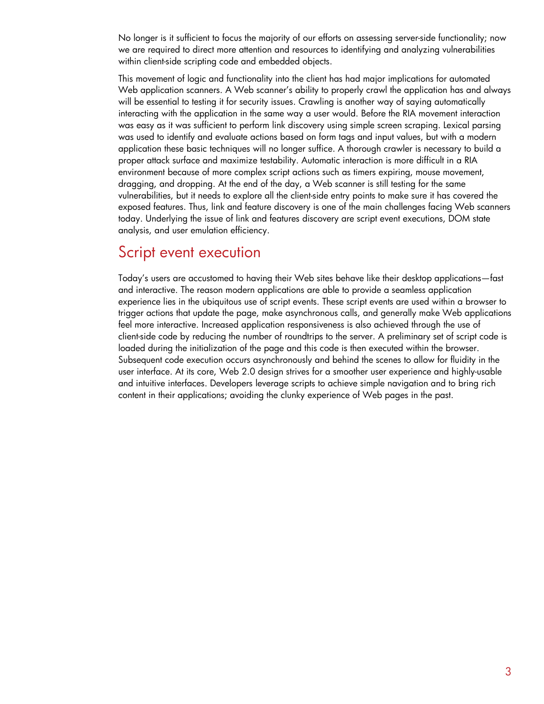No longer is it sufficient to focus the majority of our efforts on assessing server-side functionality; now we are required to direct more attention and resources to identifying and analyzing vulnerabilities within client-side scripting code and embedded objects.

This movement of logic and functionality into the client has had major implications for automated Web application scanners. A Web scanner's ability to properly crawl the application has and always will be essential to testing it for security issues. Crawling is another way of saying automatically interacting with the application in the same way a user would. Before the RIA movement interaction was easy as it was sufficient to perform link discovery using simple screen scraping. Lexical parsing was used to identify and evaluate actions based on form tags and input values, but with a modern application these basic techniques will no longer suffice. A thorough crawler is necessary to build a proper attack surface and maximize testability. Automatic interaction is more difficult in a RIA environment because of more complex script actions such as timers expiring, mouse movement, dragging, and dropping. At the end of the day, a Web scanner is still testing for the same vulnerabilities, but it needs to explore all the client-side entry points to make sure it has covered the exposed features. Thus, link and feature discovery is one of the main challenges facing Web scanners today. Underlying the issue of link and features discovery are script event executions, DOM state analysis, and user emulation efficiency.

### <span id="page-2-0"></span>Script event execution

Today's users are accustomed to having their Web sites behave like their desktop applications—fast and interactive. The reason modern applications are able to provide a seamless application experience lies in the ubiquitous use of script events. These script events are used within a browser to trigger actions that update the page, make asynchronous calls, and generally make Web applications feel more interactive. Increased application responsiveness is also achieved through the use of client-side code by reducing the number of roundtrips to the server. A preliminary set of script code is loaded during the initialization of the page and this code is then executed within the browser. Subsequent code execution occurs asynchronously and behind the scenes to allow for fluidity in the user interface. At its core, Web 2.0 design strives for a smoother user experience and highly-usable and intuitive interfaces. Developers leverage scripts to achieve simple navigation and to bring rich content in their applications; avoiding the clunky experience of Web pages in the past.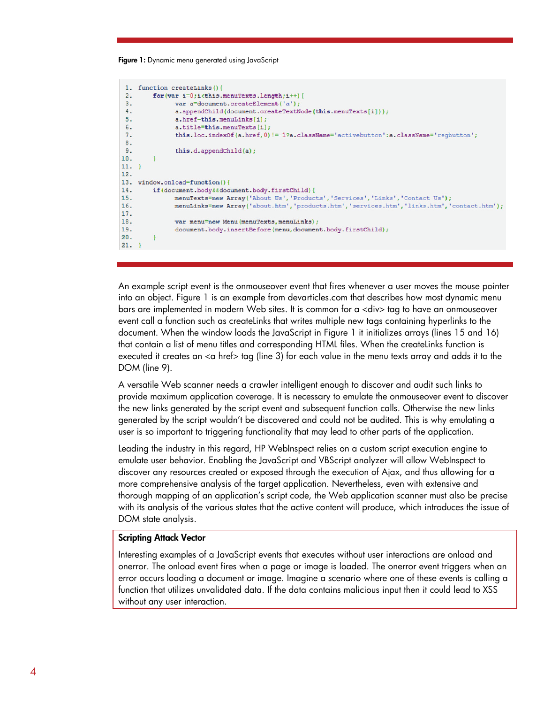#### Figure 1: Dynamic menu generated using JavaScript

```
1. function createLinks(){
 2 -for(var i=0;i<this.menuTexts.length;i++){
 3 -var a=document.createElement('a');
              a.appendChild(document.createTextNode(this.menuTexts[i]));
 4.5.a.href=this.menuLinks[i];
 6 -a.title=this.menuTexts[i];
              this.loc.indexOf(a.href, 0) !=-1?a.className='activebutton':a.className='regbutton';
 7.8 -9 -this.d.appendChild(a):
10.\mathcal{F}11.}
12.13. window.onload=function(){
14.if(document.body&&document.body.firstChild){
             menuTexts=new Array('About Us', 'Products', 'Services', 'Links', 'Contact Us');
15.menuLinks=new Array ('about.htm', 'products.htm', 'services.htm', 'links.htm', 'contact.htm');
16.17.18.var menu=new Menu(menuTexts, menuLinks);
19.document.body.insertBefore(menu,document.body.firstChild);
20.\mathcal{F}21. }
```
An example script event is the onmouseover event that fires whenever a user moves the mouse pointer into an object. Figure 1 is an example from devarticles.com that describes how most dynamic menu bars are implemented in modern Web sites. It is common for a <div> tag to have an onmouseover event call a function such as createLinks that writes multiple new tags containing hyperlinks to the document. When the window loads the JavaScript in Figure 1 it initializes arrays (lines 15 and 16) that contain a list of menu titles and corresponding HTML files. When the createLinks function is executed it creates an  $\alpha$  href $>$  tag (line 3) for each value in the menu texts array and adds it to the DOM (line 9).

A versatile Web scanner needs a crawler intelligent enough to discover and audit such links to provide maximum application coverage. It is necessary to emulate the onmouseover event to discover the new links generated by the script event and subsequent function calls. Otherwise the new links generated by the script wouldn't be discovered and could not be audited. This is why emulating a user is so important to triggering functionality that may lead to other parts of the application.

Leading the industry in this regard, HP WebInspect relies on a custom script execution engine to emulate user behavior. Enabling the JavaScript and VBScript analyzer will allow WebInspect to discover any resources created or exposed through the execution of Ajax, and thus allowing for a more comprehensive analysis of the target application. Nevertheless, even with extensive and thorough mapping of an application's script code, the Web application scanner must also be precise with its analysis of the various states that the active content will produce, which introduces the issue of DOM state analysis.

#### Scripting Attack Vector

Interesting examples of a JavaScript events that executes without user interactions are onload and onerror. The onload event fires when a page or image is loaded. The onerror event triggers when an error occurs loading a document or image. Imagine a scenario where one of these events is calling a function that utilizes unvalidated data. If the data contains malicious input then it could lead to XSS without any user interaction.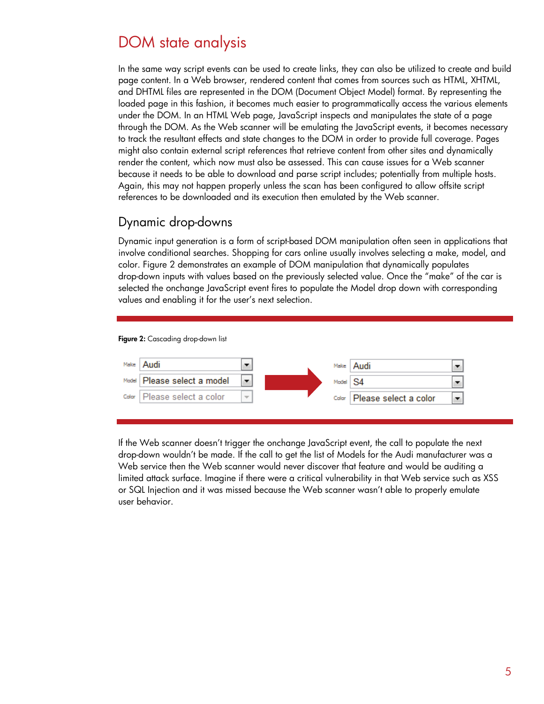## <span id="page-4-0"></span>DOM state analysis

In the same way script events can be used to create links, they can also be utilized to create and build page content. In a Web browser, rendered content that comes from sources such as HTML, XHTML, and DHTML files are represented in the DOM (Document Object Model) format. By representing the loaded page in this fashion, it becomes much easier to programmatically access the various elements under the DOM. In an HTML Web page, JavaScript inspects and manipulates the state of a page through the DOM. As the Web scanner will be emulating the JavaScript events, it becomes necessary to track the resultant effects and state changes to the DOM in order to provide full coverage. Pages might also contain external script references that retrieve content from other sites and dynamically render the content, which now must also be assessed. This can cause issues for a Web scanner because it needs to be able to download and parse script includes; potentially from multiple hosts. Again, this may not happen properly unless the scan has been configured to allow offsite script references to be downloaded and its execution then emulated by the Web scanner.

### <span id="page-4-1"></span>Dynamic drop-downs

Dynamic input generation is a form of script-based DOM manipulation often seen in applications that involve conditional searches. Shopping for cars online usually involves selecting a make, model, and color. Figure 2 demonstrates an example of DOM manipulation that dynamically populates drop-down inputs with values based on the previously selected value. Once the "make" of the car is selected the onchange JavaScript event fires to populate the Model drop down with corresponding values and enabling it for the user's next selection.

#### Figure 2: Cascading drop-down list



If the Web scanner doesn't trigger the onchange JavaScript event, the call to populate the next drop-down wouldn't be made. If the call to get the list of Models for the Audi manufacturer was a Web service then the Web scanner would never discover that feature and would be auditing a limited attack surface. Imagine if there were a critical vulnerability in that Web service such as XSS or SQL Injection and it was missed because the Web scanner wasn't able to properly emulate user behavior.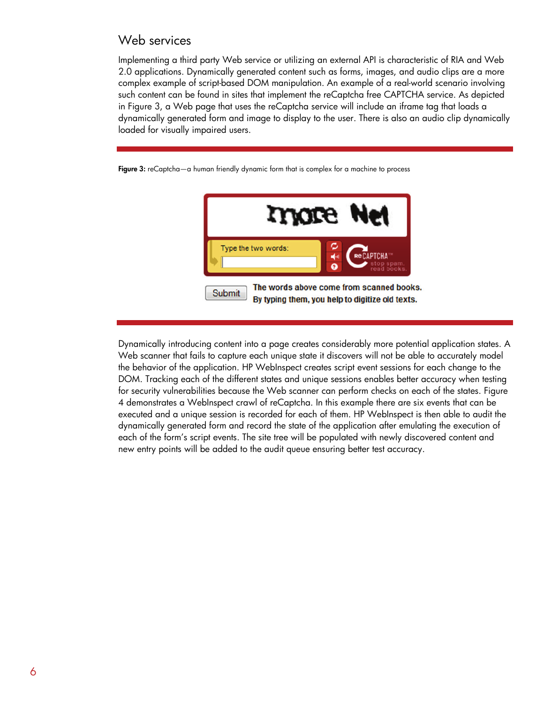### <span id="page-5-0"></span>Web services

Implementing a third party Web service or utilizing an external API is characteristic of RIA and Web 2.0 applications. Dynamically generated content such as forms, images, and audio clips are a more complex example of script-based DOM manipulation. An example of a real-world scenario involving such content can be found in sites that implement the reCaptcha free CAPTCHA service. As depicted in Figure 3, a Web page that uses the reCaptcha service will include an iframe tag that loads a dynamically generated form and image to display to the user. There is also an audio clip dynamically loaded for visually impaired users.

Figure 3: reCaptcha—a human friendly dynamic form that is complex for a machine to process



Dynamically introducing content into a page creates considerably more potential application states. A Web scanner that fails to capture each unique state it discovers will not be able to accurately model the behavior of the application. HP WebInspect creates script event sessions for each change to the DOM. Tracking each of the different states and unique sessions enables better accuracy when testing for security vulnerabilities because the Web scanner can perform checks on each of the states. Figure 4 demonstrates a WebInspect crawl of reCaptcha. In this example there are six events that can be executed and a unique session is recorded for each of them. HP WebInspect is then able to audit the dynamically generated form and record the state of the application after emulating the execution of each of the form's script events. The site tree will be populated with newly discovered content and new entry points will be added to the audit queue ensuring better test accuracy.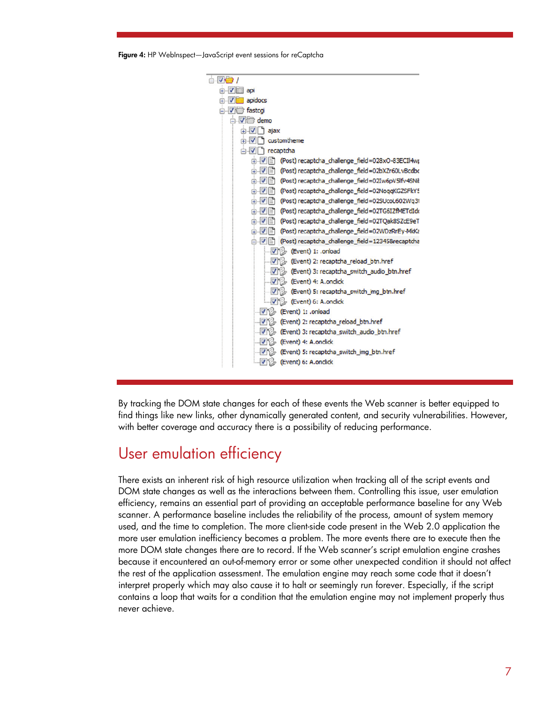Figure 4: HP WebInspect—JavaScript event sessions for reCaptcha



By tracking the DOM state changes for each of these events the Web scanner is better equipped to find things like new links, other dynamically generated content, and security vulnerabilities. However, with better coverage and accuracy there is a possibility of reducing performance.

## <span id="page-6-0"></span>User emulation efficiency

There exists an inherent risk of high resource utilization when tracking all of the script events and DOM state changes as well as the interactions between them. Controlling this issue, user emulation efficiency, remains an essential part of providing an acceptable performance baseline for any Web scanner. A performance baseline includes the reliability of the process, amount of system memory used, and the time to completion. The more client-side code present in the Web 2.0 application the more user emulation inefficiency becomes a problem. The more events there are to execute then the more DOM state changes there are to record. If the Web scanner's script emulation engine crashes because it encountered an out-of-memory error or some other unexpected condition it should not affect the rest of the application assessment. The emulation engine may reach some code that it doesn't interpret properly which may also cause it to halt or seemingly run forever. Especially, if the script contains a loop that waits for a condition that the emulation engine may not implement properly thus never achieve.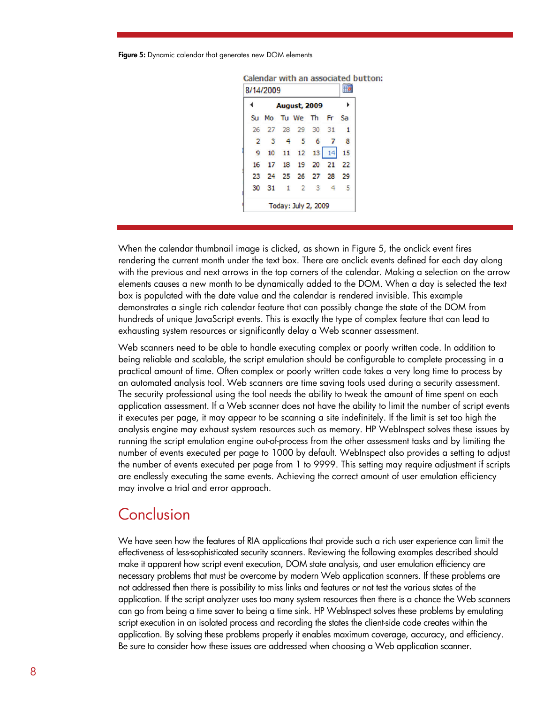Figure 5: Dynamic calendar that generates new DOM elements

|    | <b>August, 2009</b>   |                |                   |   |                | ь  |
|----|-----------------------|----------------|-------------------|---|----------------|----|
|    | Su Mo Tu We The Fr Sa |                |                   |   |                |    |
|    | 26 27 28 29 30 31     |                |                   |   |                |    |
| 2  | 3                     | $\overline{4}$ | -5                | 6 | 7              | 8  |
| 9  |                       |                | 10 11 12 13 14    |   |                | 15 |
| 16 |                       |                | 17 18 19 20 21 22 |   |                |    |
|    | 23 24 25 26 27 28 29  |                |                   |   |                |    |
|    | 30 31 1 2 3           |                |                   |   | $\overline{4}$ | -5 |

Calendar with an associated button:

When the calendar thumbnail image is clicked, as shown in Figure 5, the onclick event fires rendering the current month under the text box. There are onclick events defined for each day along with the previous and next arrows in the top corners of the calendar. Making a selection on the arrow elements causes a new month to be dynamically added to the DOM. When a day is selected the text box is populated with the date value and the calendar is rendered invisible. This example demonstrates a single rich calendar feature that can possibly change the state of the DOM from hundreds of unique JavaScript events. This is exactly the type of complex feature that can lead to exhausting system resources or significantly delay a Web scanner assessment.

Web scanners need to be able to handle executing complex or poorly written code. In addition to being reliable and scalable, the script emulation should be configurable to complete processing in a practical amount of time. Often complex or poorly written code takes a very long time to process by an automated analysis tool. Web scanners are time saving tools used during a security assessment. The security professional using the tool needs the ability to tweak the amount of time spent on each application assessment. If a Web scanner does not have the ability to limit the number of script events it executes per page, it may appear to be scanning a site indefinitely. If the limit is set too high the analysis engine may exhaust system resources such as memory. HP WebInspect solves these issues by running the script emulation engine out-of-process from the other assessment tasks and by limiting the number of events executed per page to 1000 by default. WebInspect also provides a setting to adjust the number of events executed per page from 1 to 9999. This setting may require adjustment if scripts are endlessly executing the same events. Achieving the correct amount of user emulation efficiency may involve a trial and error approach.

## <span id="page-7-0"></span>Conclusion

We have seen how the features of RIA applications that provide such a rich user experience can limit the effectiveness of less-sophisticated security scanners. Reviewing the following examples described should make it apparent how script event execution, DOM state analysis, and user emulation efficiency are necessary problems that must be overcome by modern Web application scanners. If these problems are not addressed then there is possibility to miss links and features or not test the various states of the application. If the script analyzer uses too many system resources then there is a chance the Web scanners can go from being a time saver to being a time sink. HP WebInspect solves these problems by emulating script execution in an isolated process and recording the states the client-side code creates within the application. By solving these problems properly it enables maximum coverage, accuracy, and efficiency. Be sure to consider how these issues are addressed when choosing a Web application scanner.